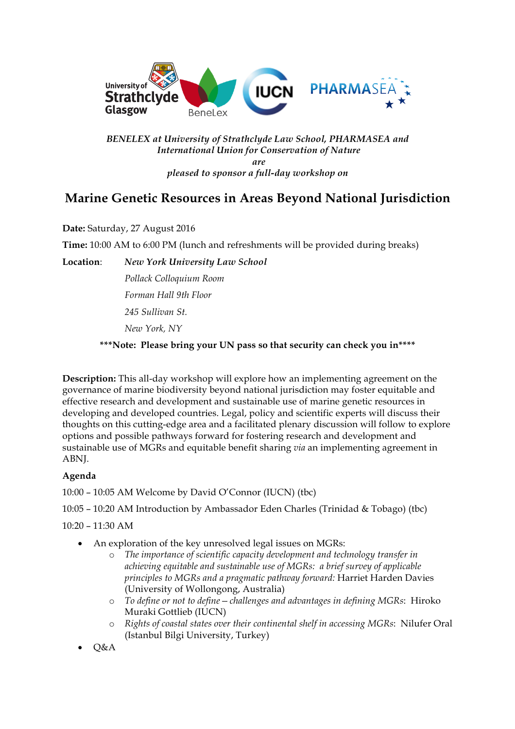

## *BENELEX at University of Strathclyde Law School, PHARMASEA and International Union for Conservation of Nature are*

*pleased to sponsor a full-day workshop on*

## **Marine Genetic Resources in Areas Beyond National Jurisdiction**

**Date:** Saturday, 27 August 2016

**Time:** 10:00 AM to 6:00 PM (lunch and refreshments will be provided during breaks)

**Location**: *New York University Law School*

*Pollack Colloquium Room Forman Hall 9th Floor 245 Sullivan St. New York, NY*

**\*\*\*Note: Please bring your UN pass so that security can check you in\*\*\*\***

**Description:** This all-day workshop will explore how an implementing agreement on the governance of marine biodiversity beyond national jurisdiction may foster equitable and effective research and development and sustainable use of marine genetic resources in developing and developed countries. Legal, policy and scientific experts will discuss their thoughts on this cutting-edge area and a facilitated plenary discussion will follow to explore options and possible pathways forward for fostering research and development and sustainable use of MGRs and equitable benefit sharing *via* an implementing agreement in ABNJ.

## **Agenda**

10:00 – 10:05 AM Welcome by David O'Connor (IUCN) (tbc)

10:05 – 10:20 AM Introduction by Ambassador Eden Charles (Trinidad & Tobago) (tbc)

10:20 – 11:30 AM

- An exploration of the key unresolved legal issues on MGRs:
	- o *The importance of scientific capacity development and technology transfer in achieving equitable and sustainable use of MGRs: a brief survey of applicable principles to MGRs and a pragmatic pathway forward:* Harriet Harden Davies (University of Wollongong, Australia)
	- o *To define or not to define—challenges and advantages in defining MGRs*: Hiroko Muraki Gottlieb (IUCN)
	- o *Rights of coastal states over their continental shelf in accessing MGRs*: Nilufer Oral (Istanbul Bilgi University, Turkey)
- Q&A